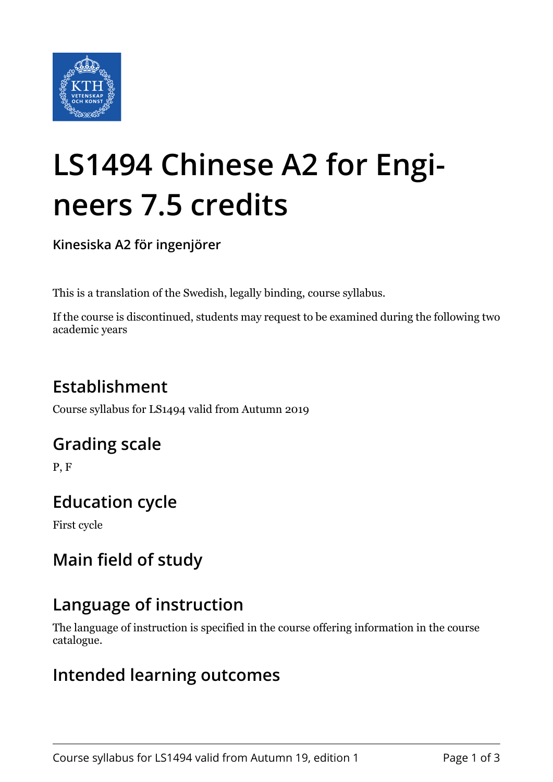

# **LS1494 Chinese A2 for Engineers 7.5 credits**

**Kinesiska A2 för ingenjörer**

This is a translation of the Swedish, legally binding, course syllabus.

If the course is discontinued, students may request to be examined during the following two academic years

## **Establishment**

Course syllabus for LS1494 valid from Autumn 2019

#### **Grading scale**

P, F

#### **Education cycle**

First cycle

## **Main field of study**

## **Language of instruction**

The language of instruction is specified in the course offering information in the course catalogue.

#### **Intended learning outcomes**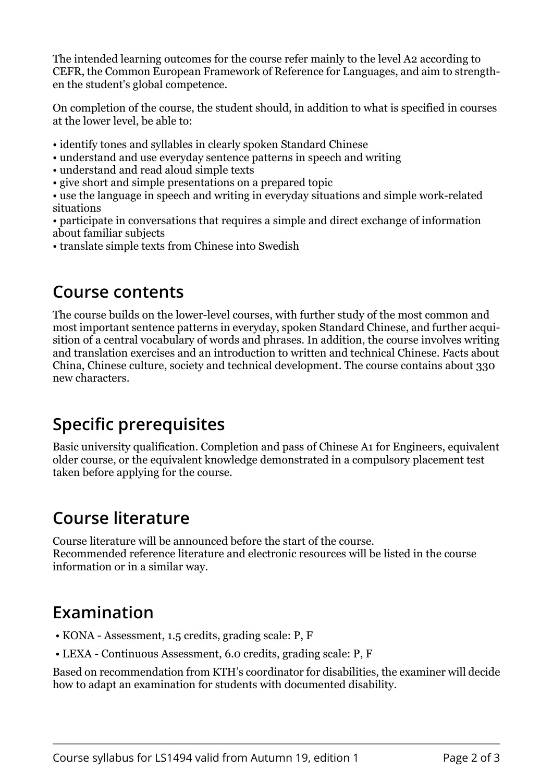The intended learning outcomes for the course refer mainly to the level A2 according to CEFR, the Common European Framework of Reference for Languages, and aim to strengthen the student's global competence.

On completion of the course, the student should, in addition to what is specified in courses at the lower level, be able to:

- identify tones and syllables in clearly spoken Standard Chinese
- understand and use everyday sentence patterns in speech and writing
- understand and read aloud simple texts
- give short and simple presentations on a prepared topic

• use the language in speech and writing in everyday situations and simple work-related situations

- participate in conversations that requires a simple and direct exchange of information about familiar subjects
- translate simple texts from Chinese into Swedish

#### **Course contents**

The course builds on the lower-level courses, with further study of the most common and most important sentence patterns in everyday, spoken Standard Chinese, and further acquisition of a central vocabulary of words and phrases. In addition, the course involves writing and translation exercises and an introduction to written and technical Chinese. Facts about China, Chinese culture, society and technical development. The course contains about 330 new characters.

## **Specific prerequisites**

Basic university qualification. Completion and pass of Chinese A1 for Engineers, equivalent older course, or the equivalent knowledge demonstrated in a compulsory placement test taken before applying for the course.

## **Course literature**

Course literature will be announced before the start of the course. Recommended reference literature and electronic resources will be listed in the course information or in a similar way.

## **Examination**

- KONA Assessment, 1.5 credits, grading scale: P, F
- LEXA Continuous Assessment, 6.0 credits, grading scale: P, F

Based on recommendation from KTH's coordinator for disabilities, the examiner will decide how to adapt an examination for students with documented disability.